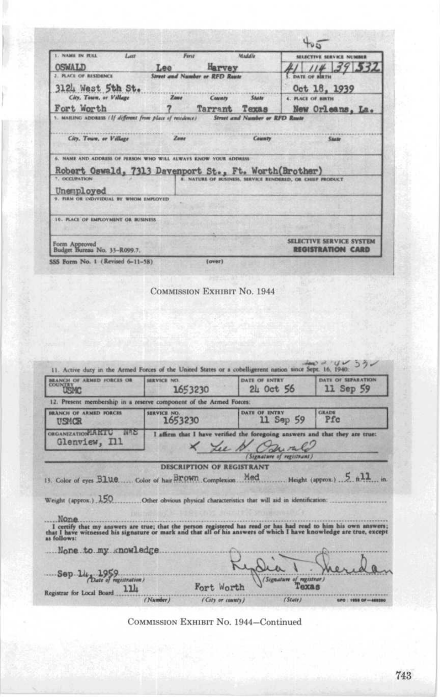| 1. NAME IN RILL<br>L                                                                 | Ferst   |                                | Maddle                                | SELECTIVE SERVICE NUMBER                                  |
|--------------------------------------------------------------------------------------|---------|--------------------------------|---------------------------------------|-----------------------------------------------------------|
| <b>OSWALD</b>                                                                        | Lee     | Harvey                         |                                       | 3932                                                      |
| 2. PLACE OF RESIDENCE                                                                |         | Street and Number or RFD Route |                                       |                                                           |
| 3124 West 5th St.                                                                    |         |                                |                                       | Oct 18, 1939                                              |
| City, Town, or Village                                                               | $Z$ ame | County                         | <b>State</b>                          | 4. PLACE OF BIRTH                                         |
| Fort Worth                                                                           |         | Tarrant                        | Texas                                 | New Orleans, La.                                          |
| 1. MAILING ADDRESS (If different from place of residence)                            |         |                                | <b>Street and Number or RFD Raute</b> |                                                           |
|                                                                                      |         |                                |                                       |                                                           |
| City, Town, or Village                                                               | Zone    |                                | <b>County</b>                         | State                                                     |
|                                                                                      |         |                                |                                       |                                                           |
|                                                                                      |         |                                |                                       |                                                           |
|                                                                                      |         |                                |                                       |                                                           |
|                                                                                      |         |                                |                                       |                                                           |
| Robert Oswald, 7313 Davenport St., Ft. Worth(Brother)<br>7. OCCUPATION               |         |                                |                                       | 8. NATURE OF BUSINESS, SERVICE RENDERED, OR CHIEF PRODUCT |
| <b>6. NAME AND ADDRESS OF PERSON WHO WILL ALWAYS ENOW YOUR ADDRESS</b><br>Unemployed |         |                                |                                       |                                                           |
| FIRM OR INDIVIDUAL BY WHOM EMPLOYED                                                  |         |                                |                                       |                                                           |
|                                                                                      |         |                                |                                       |                                                           |
| <b>10. PLACE OF EMPLOYMENT OR BUSINESS</b>                                           |         |                                |                                       |                                                           |
|                                                                                      |         |                                |                                       |                                                           |
| Form Approved                                                                        |         |                                |                                       | <b>SELECTIVE SERVICE SYSTEM</b>                           |

## COMMISSION EXHIBIT No. 1944

| <b>BRANCH OF ARMED FORCES OR</b><br><b>COUNTE</b><br><b>USMC</b>                                                                                                                                                                                                         | <b>SERVICE NO.</b><br>1653230 | <b>DATE OF ENTRY</b><br>24 Oct 56                                                                                           | DATE OF SEPARATION<br>11 Sep 59 |
|--------------------------------------------------------------------------------------------------------------------------------------------------------------------------------------------------------------------------------------------------------------------------|-------------------------------|-----------------------------------------------------------------------------------------------------------------------------|---------------------------------|
| 12. Present membership in a reserve component of the Armed Forces:                                                                                                                                                                                                       |                               |                                                                                                                             |                                 |
| BRANCH OF ARMED FORCES<br>USMOR                                                                                                                                                                                                                                          | SERVICE NO.<br>1653230        | DATE OF INTRY<br>11 Sep 59                                                                                                  | <b>GRADE</b><br>Pfc             |
| <b>ORGANIZATION A KTU</b><br><b>NAS</b><br>Glenview, Ill                                                                                                                                                                                                                 |                               | I affirm that I have verified the foregoing answers and that they are true:<br>X Lee N. Causale<br>Signature of registrant, |                                 |
| Weight (approx.) 150                                                                                                                                                                                                                                                     |                               | Other obvious physical characteristics that will aid in identification:                                                     |                                 |
| None                                                                                                                                                                                                                                                                     |                               |                                                                                                                             |                                 |
| I certify that my answers are true; that the person registered has read or has had read to him his own answers;<br>that I have witnessed his signature or mark and that all of his answers of which I have knowledge are true, ex<br>as follows:<br>None to my knowledge |                               |                                                                                                                             |                                 |
| Sep. 14 1959.<br>11h<br>Registrar for Local Board                                                                                                                                                                                                                        | Fort Worth                    | (Signature of registrar)                                                                                                    |                                 |

COMMISSION EXHIBIT No. 1944-Continued